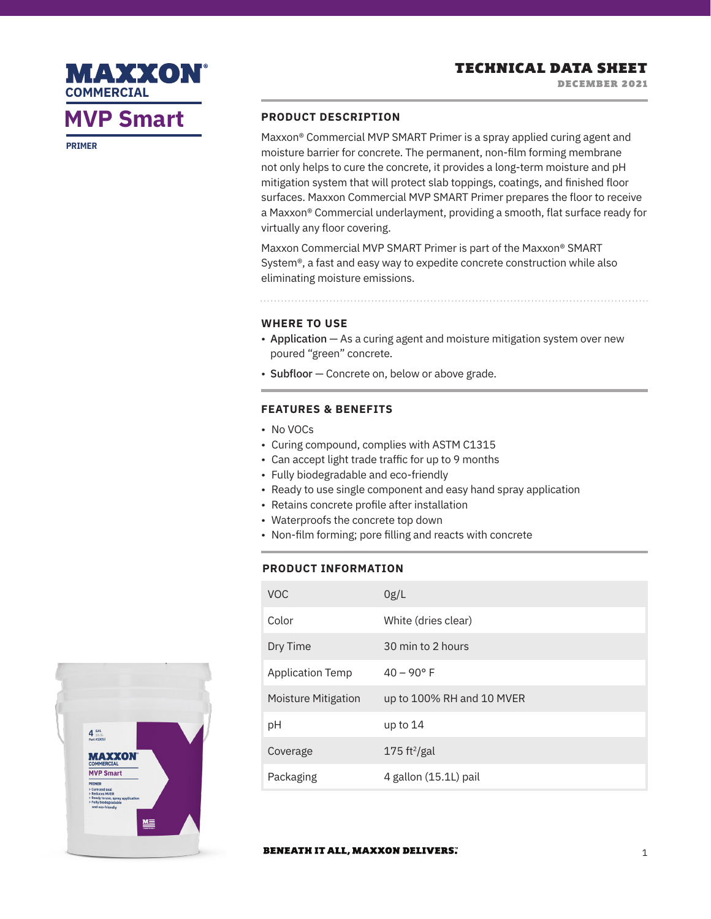# **MVP Smart PRODUCT DESCRIPTION**

**MAXXON** 

**COMMERCIAL**

**PRIMER**

Maxxon® Commercial MVP SMART Primer is a spray applied curing agent and moisture barrier for concrete. The permanent, non-film forming membrane not only helps to cure the concrete, it provides a long-term moisture and pH mitigation system that will protect slab toppings, coatings, and finished floor surfaces. Maxxon Commercial MVP SMART Primer prepares the floor to receive a Maxxon® Commercial underlayment, providing a smooth, flat surface ready for virtually any floor covering.

Maxxon Commercial MVP SMART Primer is part of the Maxxon® SMART System®, a fast and easy way to expedite concrete construction while also eliminating moisture emissions.

#### **WHERE TO USE**

- Application As a curing agent and moisture mitigation system over new poured "green" concrete.
- Subfloor Concrete on, below or above grade.

# **FEATURES & BENEFITS**

- No VOCs
- Curing compound, complies with ASTM C1315
- Can accept light trade traffic for up to 9 months
- Fully biodegradable and eco-friendly
- Ready to use single component and easy hand spray application
- Retains concrete profile after installation
- Waterproofs the concrete top down
- Non-film forming; pore filling and reacts with concrete

# **PRODUCT INFORMATION**

| <b>VOC</b>          | 0g/L                      |
|---------------------|---------------------------|
| Color               | White (dries clear)       |
| Dry Time            | 30 min to 2 hours         |
| Application Temp    | $40 - 90^{\circ}$ F       |
| Moisture Mitigation | up to 100% RH and 10 MVER |
| рH                  | up to $14$                |
| Coverage            | 175 ft <sup>2</sup> /gal  |
| Packaging           | 4 gallon (15.1L) pail     |



#### **BENEATH IT ALL, MAXXON DELIVERS.**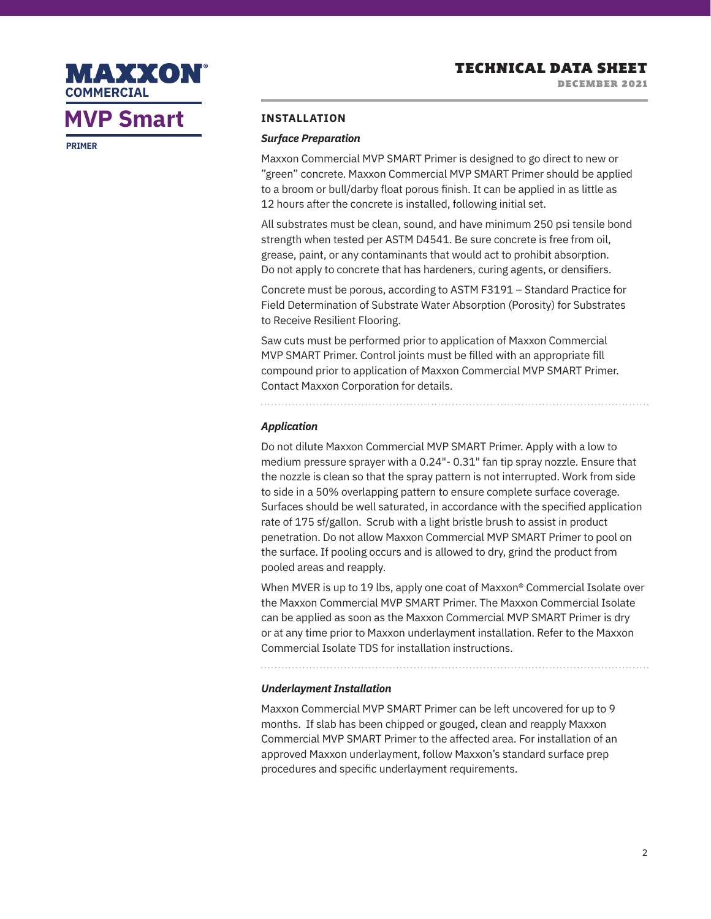

# **MVP Smart**

**PRIMER**

## **INSTALLATION**

#### *Surface Preparation*

Maxxon Commercial MVP SMART Primer is designed to go direct to new or "green" concrete. Maxxon Commercial MVP SMART Primer should be applied to a broom or bull/darby float porous finish. It can be applied in as little as 12 hours after the concrete is installed, following initial set.

All substrates must be clean, sound, and have minimum 250 psi tensile bond strength when tested per ASTM D4541. Be sure concrete is free from oil, grease, paint, or any contaminants that would act to prohibit absorption. Do not apply to concrete that has hardeners, curing agents, or densifiers.

Concrete must be porous, according to ASTM F3191 – Standard Practice for Field Determination of Substrate Water Absorption (Porosity) for Substrates to Receive Resilient Flooring.

Saw cuts must be performed prior to application of Maxxon Commercial MVP SMART Primer. Control joints must be filled with an appropriate fill compound prior to application of Maxxon Commercial MVP SMART Primer. Contact Maxxon Corporation for details.

# *Application*

Do not dilute Maxxon Commercial MVP SMART Primer. Apply with a low to medium pressure sprayer with a 0.24"- 0.31" fan tip spray nozzle. Ensure that the nozzle is clean so that the spray pattern is not interrupted. Work from side to side in a 50% overlapping pattern to ensure complete surface coverage. Surfaces should be well saturated, in accordance with the specified application rate of 175 sf/gallon. Scrub with a light bristle brush to assist in product penetration. Do not allow Maxxon Commercial MVP SMART Primer to pool on the surface. If pooling occurs and is allowed to dry, grind the product from pooled areas and reapply.

When MVER is up to 19 lbs, apply one coat of Maxxon<sup>®</sup> Commercial Isolate over the Maxxon Commercial MVP SMART Primer. The Maxxon Commercial Isolate can be applied as soon as the Maxxon Commercial MVP SMART Primer is dry or at any time prior to Maxxon underlayment installation. Refer to the Maxxon Commercial Isolate TDS for installation instructions.

### *Underlayment Installation*

Maxxon Commercial MVP SMART Primer can be left uncovered for up to 9 months. If slab has been chipped or gouged, clean and reapply Maxxon Commercial MVP SMART Primer to the affected area. For installation of an approved Maxxon underlayment, follow Maxxon's standard surface prep procedures and specific underlayment requirements.